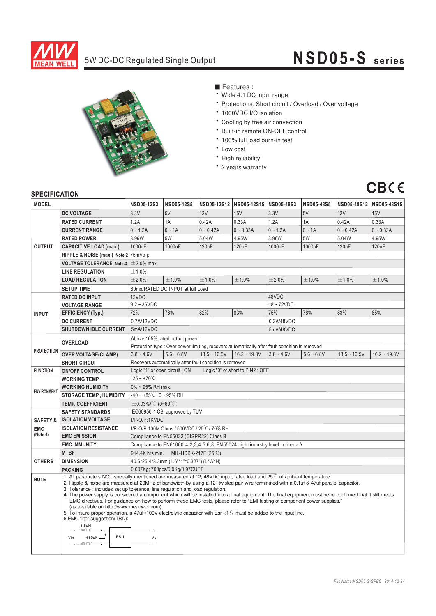

## 5W DC-DC Regulated Single Output

## **NSD05-S series**



- Features :
- Wide 4:1 DC input range
- \* Protections: Short circuit / Overload / Over voltage
- 1000VDC I/O isolation
- \* Cooling by free air convection
- \* Built-in remote ON-OFF control
- \* 100% full load burn-in test
- Low cost
- \* High reliability
- \* 2 years warranty



## **SPECIFICATION**

| <b>MODEL</b><br>NSD05-12S15   NSD05-48S3<br>5V<br>12V<br>3.3V<br>5V<br><b>DC VOLTAGE</b><br>3.3V<br>15V<br>12V<br><b>RATED CURRENT</b><br>1.2A<br>1A<br>0.42A<br>0.33A<br>1.2A<br>1A<br>0.42A<br>$0 - 1.2A$<br>$0 \sim 1A$<br>$0 \sim 1A$<br>$0 - 0.42A$<br>$0 - 0.33A$<br>$0 - 1.2A$<br>$0 - 0.42A$<br><b>CURRENT RANGE</b><br>3.96W<br>5W<br>5W<br><b>RATED POWER</b><br>5.04W<br>4.95W<br>3.96W<br>5.04W<br>1000uF<br><b>OUTPUT</b><br>1000uF<br>120uF<br>120uF<br>1000uF<br>1000uF<br><b>CAPACITIVE LOAD (max.)</b><br>120uF<br>RIPPLE & NOISE (max.) Note.2 75mVp-p<br><b>VOLTAGE TOLERANCE</b> Note.3 $\pm$ 2.0% max.<br>±1.0%<br><b>LINE REGULATION</b><br>±2.0%<br>±1.0%<br>±1.0%<br><b>LOAD REGULATION</b><br>±1.0%<br>±2.0%<br>±1.0%<br>±1.0%<br>80ms/RATED DC INPUT at full Load<br><b>SETUP TIME</b><br><b>RATED DC INPUT</b><br>12VDC<br>48VDC<br>$9.2 - 36VDC$<br>$18 - 72VDC$<br><b>VOLTAGE RANGE</b><br>72%<br>76%<br>82%<br>83%<br>75%<br>78%<br>83%<br><b>EFFICIENCY (Typ.)</b><br><b>INPUT</b><br><b>DC CURRENT</b><br>0.7A/12VDC<br>0.2A/48VDC<br><b>SHUTDOWN IDLE CURRENT</b><br>5mA/12VDC<br>5mA/48VDC<br>Above 105% rated output power<br><b>OVERLOAD</b><br>Protection type : Over power limiting, recovers automatically after fault condition is removed<br><b>PROTECTION</b><br><b>OVER VOLTAGE(CLAMP)</b><br>$3.8 - 4.6V$<br>$5.6 - 6.8V$<br>$13.5 - 16.5V$<br>$16.2 - 19.8V$<br>$3.8 - 4.6V$<br>$5.6 - 6.8V$<br>Recovers automatically after fault condition is removed<br><b>SHORT CIRCUIT</b><br><b>FUNCTION</b><br>Logic "1" or open circuit : ON<br>Logic "0" or short to PIN2 : OFF<br><b>ON/OFF CONTROL</b><br>$-25 - +70^{\circ}$ C<br><b>WORKING TEMP.</b><br>$0\% \sim 95\%$ RH max.<br><b>WORKING HUMIDITY</b><br><b>ENVIRONMENT</b><br>$-40 \sim +85^{\circ}$ C, 0 ~ 95% RH<br><b>STORAGE TEMP., HUMIDITY</b><br>$\pm$ 0.03%/°C (0~60°C)<br><b>TEMP. COEFFICIENT</b><br>IEC60950-1 CB approved by TUV<br><b>SAFETY STANDARDS</b><br><b>ISOLATION VOLTAGE</b><br>I/P-O/P:1KVDC<br><b>SAFETY &amp;</b><br><b>ISOLATION RESISTANCE</b><br>I/P-O/P:100M Ohms / 500VDC / 25°C / 70% RH<br><b>EMC</b><br>(Note 4)<br><b>EMC EMISSION</b><br>Compliance to EN55022 (CISPR22) Class B<br><b>EMC IMMUNITY</b><br>Compliance to EN61000-4-2,3,4,5,6,8; EN55024, light industry level, criteria A<br><b>MTBF</b><br>914.4K hrs min.<br>MIL-HDBK-217F $(25^{\circ}C)$<br><b>OTHERS</b><br><b>DIMENSION</b><br>40.6*25.4*8.3mm (1.6"*1"*0.327") (L*W*H)<br>0.007Kg; 700pcs/5.9Kg/0.97CUFT<br><b>PACKING</b><br>1. All parameters NOT specially mentioned are measured at 12, 48VDC input, rated load and 25°C of ambient temperature.<br><b>NOTE</b><br>2. Ripple & noise are measured at 20MHz of bandwidth by using a 12" twisted pair-wire terminated with a 0.1uf & 47uf parallel capacitor. | יוטו וערו ווטב וט |  |                   |                   |             |  |  |                   |                |                           |
|-----------------------------------------------------------------------------------------------------------------------------------------------------------------------------------------------------------------------------------------------------------------------------------------------------------------------------------------------------------------------------------------------------------------------------------------------------------------------------------------------------------------------------------------------------------------------------------------------------------------------------------------------------------------------------------------------------------------------------------------------------------------------------------------------------------------------------------------------------------------------------------------------------------------------------------------------------------------------------------------------------------------------------------------------------------------------------------------------------------------------------------------------------------------------------------------------------------------------------------------------------------------------------------------------------------------------------------------------------------------------------------------------------------------------------------------------------------------------------------------------------------------------------------------------------------------------------------------------------------------------------------------------------------------------------------------------------------------------------------------------------------------------------------------------------------------------------------------------------------------------------------------------------------------------------------------------------------------------------------------------------------------------------------------------------------------------------------------------------------------------------------------------------------------------------------------------------------------------------------------------------------------------------------------------------------------------------------------------------------------------------------------------------------------------------------------------------------------------------------------------------------------------------------------------------------------------------------------------------------------------------------------------------------------------------------------------------------------------------------------------------------------------------------------------------------------------------|-------------------|--|-------------------|-------------------|-------------|--|--|-------------------|----------------|---------------------------|
|                                                                                                                                                                                                                                                                                                                                                                                                                                                                                                                                                                                                                                                                                                                                                                                                                                                                                                                                                                                                                                                                                                                                                                                                                                                                                                                                                                                                                                                                                                                                                                                                                                                                                                                                                                                                                                                                                                                                                                                                                                                                                                                                                                                                                                                                                                                                                                                                                                                                                                                                                                                                                                                                                                                                                                                                                             |                   |  | <b>NSD05-12S3</b> | <b>NSD05-12S5</b> | NSD05-12S12 |  |  | <b>NSD05-48S5</b> |                | NSD05-48S12   NSD05-48S15 |
|                                                                                                                                                                                                                                                                                                                                                                                                                                                                                                                                                                                                                                                                                                                                                                                                                                                                                                                                                                                                                                                                                                                                                                                                                                                                                                                                                                                                                                                                                                                                                                                                                                                                                                                                                                                                                                                                                                                                                                                                                                                                                                                                                                                                                                                                                                                                                                                                                                                                                                                                                                                                                                                                                                                                                                                                                             |                   |  |                   |                   |             |  |  |                   |                | 15V                       |
|                                                                                                                                                                                                                                                                                                                                                                                                                                                                                                                                                                                                                                                                                                                                                                                                                                                                                                                                                                                                                                                                                                                                                                                                                                                                                                                                                                                                                                                                                                                                                                                                                                                                                                                                                                                                                                                                                                                                                                                                                                                                                                                                                                                                                                                                                                                                                                                                                                                                                                                                                                                                                                                                                                                                                                                                                             |                   |  |                   |                   |             |  |  |                   |                | 0.33A                     |
|                                                                                                                                                                                                                                                                                                                                                                                                                                                                                                                                                                                                                                                                                                                                                                                                                                                                                                                                                                                                                                                                                                                                                                                                                                                                                                                                                                                                                                                                                                                                                                                                                                                                                                                                                                                                                                                                                                                                                                                                                                                                                                                                                                                                                                                                                                                                                                                                                                                                                                                                                                                                                                                                                                                                                                                                                             |                   |  |                   |                   |             |  |  |                   |                | $0 - 0.33A$               |
|                                                                                                                                                                                                                                                                                                                                                                                                                                                                                                                                                                                                                                                                                                                                                                                                                                                                                                                                                                                                                                                                                                                                                                                                                                                                                                                                                                                                                                                                                                                                                                                                                                                                                                                                                                                                                                                                                                                                                                                                                                                                                                                                                                                                                                                                                                                                                                                                                                                                                                                                                                                                                                                                                                                                                                                                                             |                   |  |                   |                   |             |  |  |                   |                | 4.95W                     |
|                                                                                                                                                                                                                                                                                                                                                                                                                                                                                                                                                                                                                                                                                                                                                                                                                                                                                                                                                                                                                                                                                                                                                                                                                                                                                                                                                                                                                                                                                                                                                                                                                                                                                                                                                                                                                                                                                                                                                                                                                                                                                                                                                                                                                                                                                                                                                                                                                                                                                                                                                                                                                                                                                                                                                                                                                             |                   |  |                   |                   |             |  |  |                   |                | 120uF                     |
|                                                                                                                                                                                                                                                                                                                                                                                                                                                                                                                                                                                                                                                                                                                                                                                                                                                                                                                                                                                                                                                                                                                                                                                                                                                                                                                                                                                                                                                                                                                                                                                                                                                                                                                                                                                                                                                                                                                                                                                                                                                                                                                                                                                                                                                                                                                                                                                                                                                                                                                                                                                                                                                                                                                                                                                                                             |                   |  |                   |                   |             |  |  |                   |                |                           |
|                                                                                                                                                                                                                                                                                                                                                                                                                                                                                                                                                                                                                                                                                                                                                                                                                                                                                                                                                                                                                                                                                                                                                                                                                                                                                                                                                                                                                                                                                                                                                                                                                                                                                                                                                                                                                                                                                                                                                                                                                                                                                                                                                                                                                                                                                                                                                                                                                                                                                                                                                                                                                                                                                                                                                                                                                             |                   |  |                   |                   |             |  |  |                   |                |                           |
|                                                                                                                                                                                                                                                                                                                                                                                                                                                                                                                                                                                                                                                                                                                                                                                                                                                                                                                                                                                                                                                                                                                                                                                                                                                                                                                                                                                                                                                                                                                                                                                                                                                                                                                                                                                                                                                                                                                                                                                                                                                                                                                                                                                                                                                                                                                                                                                                                                                                                                                                                                                                                                                                                                                                                                                                                             |                   |  |                   |                   |             |  |  |                   |                |                           |
|                                                                                                                                                                                                                                                                                                                                                                                                                                                                                                                                                                                                                                                                                                                                                                                                                                                                                                                                                                                                                                                                                                                                                                                                                                                                                                                                                                                                                                                                                                                                                                                                                                                                                                                                                                                                                                                                                                                                                                                                                                                                                                                                                                                                                                                                                                                                                                                                                                                                                                                                                                                                                                                                                                                                                                                                                             |                   |  |                   |                   |             |  |  |                   |                | ±1.0%                     |
|                                                                                                                                                                                                                                                                                                                                                                                                                                                                                                                                                                                                                                                                                                                                                                                                                                                                                                                                                                                                                                                                                                                                                                                                                                                                                                                                                                                                                                                                                                                                                                                                                                                                                                                                                                                                                                                                                                                                                                                                                                                                                                                                                                                                                                                                                                                                                                                                                                                                                                                                                                                                                                                                                                                                                                                                                             |                   |  |                   |                   |             |  |  |                   |                |                           |
|                                                                                                                                                                                                                                                                                                                                                                                                                                                                                                                                                                                                                                                                                                                                                                                                                                                                                                                                                                                                                                                                                                                                                                                                                                                                                                                                                                                                                                                                                                                                                                                                                                                                                                                                                                                                                                                                                                                                                                                                                                                                                                                                                                                                                                                                                                                                                                                                                                                                                                                                                                                                                                                                                                                                                                                                                             |                   |  |                   |                   |             |  |  |                   |                |                           |
|                                                                                                                                                                                                                                                                                                                                                                                                                                                                                                                                                                                                                                                                                                                                                                                                                                                                                                                                                                                                                                                                                                                                                                                                                                                                                                                                                                                                                                                                                                                                                                                                                                                                                                                                                                                                                                                                                                                                                                                                                                                                                                                                                                                                                                                                                                                                                                                                                                                                                                                                                                                                                                                                                                                                                                                                                             |                   |  |                   |                   |             |  |  |                   |                |                           |
|                                                                                                                                                                                                                                                                                                                                                                                                                                                                                                                                                                                                                                                                                                                                                                                                                                                                                                                                                                                                                                                                                                                                                                                                                                                                                                                                                                                                                                                                                                                                                                                                                                                                                                                                                                                                                                                                                                                                                                                                                                                                                                                                                                                                                                                                                                                                                                                                                                                                                                                                                                                                                                                                                                                                                                                                                             |                   |  |                   |                   |             |  |  |                   |                | 85%                       |
|                                                                                                                                                                                                                                                                                                                                                                                                                                                                                                                                                                                                                                                                                                                                                                                                                                                                                                                                                                                                                                                                                                                                                                                                                                                                                                                                                                                                                                                                                                                                                                                                                                                                                                                                                                                                                                                                                                                                                                                                                                                                                                                                                                                                                                                                                                                                                                                                                                                                                                                                                                                                                                                                                                                                                                                                                             |                   |  |                   |                   |             |  |  |                   |                |                           |
|                                                                                                                                                                                                                                                                                                                                                                                                                                                                                                                                                                                                                                                                                                                                                                                                                                                                                                                                                                                                                                                                                                                                                                                                                                                                                                                                                                                                                                                                                                                                                                                                                                                                                                                                                                                                                                                                                                                                                                                                                                                                                                                                                                                                                                                                                                                                                                                                                                                                                                                                                                                                                                                                                                                                                                                                                             |                   |  |                   |                   |             |  |  |                   |                |                           |
|                                                                                                                                                                                                                                                                                                                                                                                                                                                                                                                                                                                                                                                                                                                                                                                                                                                                                                                                                                                                                                                                                                                                                                                                                                                                                                                                                                                                                                                                                                                                                                                                                                                                                                                                                                                                                                                                                                                                                                                                                                                                                                                                                                                                                                                                                                                                                                                                                                                                                                                                                                                                                                                                                                                                                                                                                             |                   |  |                   |                   |             |  |  |                   |                |                           |
|                                                                                                                                                                                                                                                                                                                                                                                                                                                                                                                                                                                                                                                                                                                                                                                                                                                                                                                                                                                                                                                                                                                                                                                                                                                                                                                                                                                                                                                                                                                                                                                                                                                                                                                                                                                                                                                                                                                                                                                                                                                                                                                                                                                                                                                                                                                                                                                                                                                                                                                                                                                                                                                                                                                                                                                                                             |                   |  |                   |                   |             |  |  |                   |                |                           |
|                                                                                                                                                                                                                                                                                                                                                                                                                                                                                                                                                                                                                                                                                                                                                                                                                                                                                                                                                                                                                                                                                                                                                                                                                                                                                                                                                                                                                                                                                                                                                                                                                                                                                                                                                                                                                                                                                                                                                                                                                                                                                                                                                                                                                                                                                                                                                                                                                                                                                                                                                                                                                                                                                                                                                                                                                             |                   |  |                   |                   |             |  |  |                   | $13.5 - 16.5V$ | $16.2 - 19.8V$            |
|                                                                                                                                                                                                                                                                                                                                                                                                                                                                                                                                                                                                                                                                                                                                                                                                                                                                                                                                                                                                                                                                                                                                                                                                                                                                                                                                                                                                                                                                                                                                                                                                                                                                                                                                                                                                                                                                                                                                                                                                                                                                                                                                                                                                                                                                                                                                                                                                                                                                                                                                                                                                                                                                                                                                                                                                                             |                   |  |                   |                   |             |  |  |                   |                |                           |
|                                                                                                                                                                                                                                                                                                                                                                                                                                                                                                                                                                                                                                                                                                                                                                                                                                                                                                                                                                                                                                                                                                                                                                                                                                                                                                                                                                                                                                                                                                                                                                                                                                                                                                                                                                                                                                                                                                                                                                                                                                                                                                                                                                                                                                                                                                                                                                                                                                                                                                                                                                                                                                                                                                                                                                                                                             |                   |  |                   |                   |             |  |  |                   |                |                           |
|                                                                                                                                                                                                                                                                                                                                                                                                                                                                                                                                                                                                                                                                                                                                                                                                                                                                                                                                                                                                                                                                                                                                                                                                                                                                                                                                                                                                                                                                                                                                                                                                                                                                                                                                                                                                                                                                                                                                                                                                                                                                                                                                                                                                                                                                                                                                                                                                                                                                                                                                                                                                                                                                                                                                                                                                                             |                   |  |                   |                   |             |  |  |                   |                |                           |
|                                                                                                                                                                                                                                                                                                                                                                                                                                                                                                                                                                                                                                                                                                                                                                                                                                                                                                                                                                                                                                                                                                                                                                                                                                                                                                                                                                                                                                                                                                                                                                                                                                                                                                                                                                                                                                                                                                                                                                                                                                                                                                                                                                                                                                                                                                                                                                                                                                                                                                                                                                                                                                                                                                                                                                                                                             |                   |  |                   |                   |             |  |  |                   |                |                           |
|                                                                                                                                                                                                                                                                                                                                                                                                                                                                                                                                                                                                                                                                                                                                                                                                                                                                                                                                                                                                                                                                                                                                                                                                                                                                                                                                                                                                                                                                                                                                                                                                                                                                                                                                                                                                                                                                                                                                                                                                                                                                                                                                                                                                                                                                                                                                                                                                                                                                                                                                                                                                                                                                                                                                                                                                                             |                   |  |                   |                   |             |  |  |                   |                |                           |
|                                                                                                                                                                                                                                                                                                                                                                                                                                                                                                                                                                                                                                                                                                                                                                                                                                                                                                                                                                                                                                                                                                                                                                                                                                                                                                                                                                                                                                                                                                                                                                                                                                                                                                                                                                                                                                                                                                                                                                                                                                                                                                                                                                                                                                                                                                                                                                                                                                                                                                                                                                                                                                                                                                                                                                                                                             |                   |  |                   |                   |             |  |  |                   |                |                           |
|                                                                                                                                                                                                                                                                                                                                                                                                                                                                                                                                                                                                                                                                                                                                                                                                                                                                                                                                                                                                                                                                                                                                                                                                                                                                                                                                                                                                                                                                                                                                                                                                                                                                                                                                                                                                                                                                                                                                                                                                                                                                                                                                                                                                                                                                                                                                                                                                                                                                                                                                                                                                                                                                                                                                                                                                                             |                   |  |                   |                   |             |  |  |                   |                |                           |
|                                                                                                                                                                                                                                                                                                                                                                                                                                                                                                                                                                                                                                                                                                                                                                                                                                                                                                                                                                                                                                                                                                                                                                                                                                                                                                                                                                                                                                                                                                                                                                                                                                                                                                                                                                                                                                                                                                                                                                                                                                                                                                                                                                                                                                                                                                                                                                                                                                                                                                                                                                                                                                                                                                                                                                                                                             |                   |  |                   |                   |             |  |  |                   |                |                           |
|                                                                                                                                                                                                                                                                                                                                                                                                                                                                                                                                                                                                                                                                                                                                                                                                                                                                                                                                                                                                                                                                                                                                                                                                                                                                                                                                                                                                                                                                                                                                                                                                                                                                                                                                                                                                                                                                                                                                                                                                                                                                                                                                                                                                                                                                                                                                                                                                                                                                                                                                                                                                                                                                                                                                                                                                                             |                   |  |                   |                   |             |  |  |                   |                |                           |
|                                                                                                                                                                                                                                                                                                                                                                                                                                                                                                                                                                                                                                                                                                                                                                                                                                                                                                                                                                                                                                                                                                                                                                                                                                                                                                                                                                                                                                                                                                                                                                                                                                                                                                                                                                                                                                                                                                                                                                                                                                                                                                                                                                                                                                                                                                                                                                                                                                                                                                                                                                                                                                                                                                                                                                                                                             |                   |  |                   |                   |             |  |  |                   |                |                           |
|                                                                                                                                                                                                                                                                                                                                                                                                                                                                                                                                                                                                                                                                                                                                                                                                                                                                                                                                                                                                                                                                                                                                                                                                                                                                                                                                                                                                                                                                                                                                                                                                                                                                                                                                                                                                                                                                                                                                                                                                                                                                                                                                                                                                                                                                                                                                                                                                                                                                                                                                                                                                                                                                                                                                                                                                                             |                   |  |                   |                   |             |  |  |                   |                |                           |
|                                                                                                                                                                                                                                                                                                                                                                                                                                                                                                                                                                                                                                                                                                                                                                                                                                                                                                                                                                                                                                                                                                                                                                                                                                                                                                                                                                                                                                                                                                                                                                                                                                                                                                                                                                                                                                                                                                                                                                                                                                                                                                                                                                                                                                                                                                                                                                                                                                                                                                                                                                                                                                                                                                                                                                                                                             |                   |  |                   |                   |             |  |  |                   |                |                           |
|                                                                                                                                                                                                                                                                                                                                                                                                                                                                                                                                                                                                                                                                                                                                                                                                                                                                                                                                                                                                                                                                                                                                                                                                                                                                                                                                                                                                                                                                                                                                                                                                                                                                                                                                                                                                                                                                                                                                                                                                                                                                                                                                                                                                                                                                                                                                                                                                                                                                                                                                                                                                                                                                                                                                                                                                                             |                   |  |                   |                   |             |  |  |                   |                |                           |
|                                                                                                                                                                                                                                                                                                                                                                                                                                                                                                                                                                                                                                                                                                                                                                                                                                                                                                                                                                                                                                                                                                                                                                                                                                                                                                                                                                                                                                                                                                                                                                                                                                                                                                                                                                                                                                                                                                                                                                                                                                                                                                                                                                                                                                                                                                                                                                                                                                                                                                                                                                                                                                                                                                                                                                                                                             |                   |  |                   |                   |             |  |  |                   |                |                           |
| 3. Tolerance : includes set up tolerance, line regulation and load regulation.<br>4. The power supply is considered a component which will be installed into a final equipment. The final equipment must be re-confirmed that it still meets<br>EMC directives. For quidance on how to perform these EMC tests, please refer to "EMI testing of component power supplies."<br>(as available on http://www.meanwell.com)<br>5. To insure proper operation, a 47uF/100V electrolytic capacitor with Esr <1 $\Omega$ must be added to the input line.<br>6.EMC filter suggestion(TBD):<br>5.5uH<br>PSU<br>680uF<br>Vin<br>Vo<br>കന്ന                                                                                                                                                                                                                                                                                                                                                                                                                                                                                                                                                                                                                                                                                                                                                                                                                                                                                                                                                                                                                                                                                                                                                                                                                                                                                                                                                                                                                                                                                                                                                                                                                                                                                                                                                                                                                                                                                                                                                                                                                                                                                                                                                                                           |                   |  |                   |                   |             |  |  |                   |                |                           |